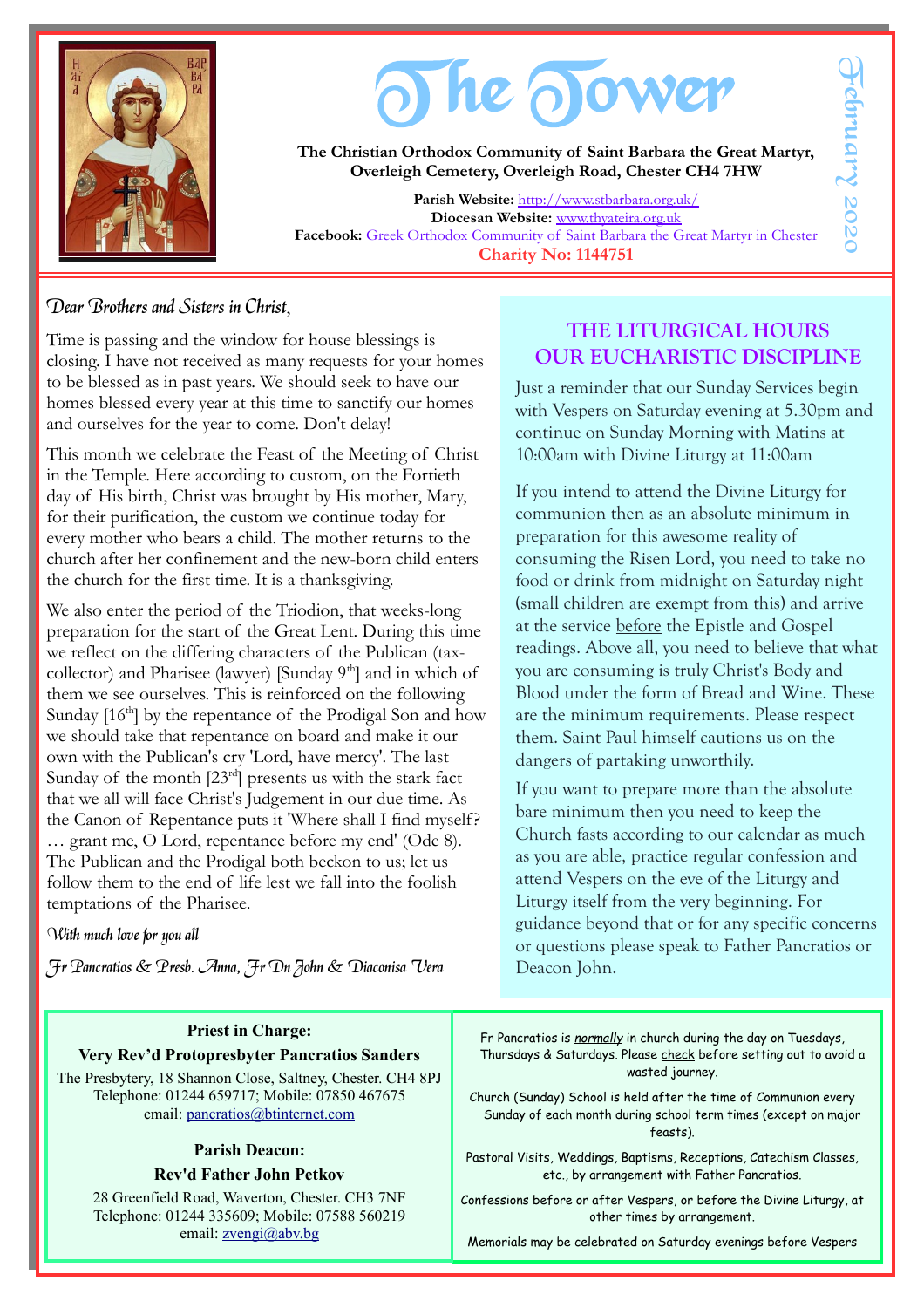

# The Sower

**The Christian Orthodox Community of Saint Barbara the Great Martyr, Overleigh Cemetery, Overleigh Road, Chester CH4 7HW**

**Parish Website:** <http://www.stbarbara.org.uk/> **Diocesan Website:** [www.thyateira.org.uk](http://www.thyateira.org.uk/) **Facebook:** Greek Orthodox Community of Saint Barbara the Great Martyr in Chester **Charity No: 1144751**

### Dear Brothers and Sisters in Christ,

Time is passing and the window for house blessings is closing. I have not received as many requests for your homes to be blessed as in past years. We should seek to have our homes blessed every year at this time to sanctify our homes and ourselves for the year to come. Don't delay!

This month we celebrate the Feast of the Meeting of Christ in the Temple. Here according to custom, on the Fortieth day of His birth, Christ was brought by His mother, Mary, for their purification, the custom we continue today for every mother who bears a child. The mother returns to the church after her confinement and the new-born child enters the church for the first time. It is a thanksgiving.

We also enter the period of the Triodion, that weeks-long preparation for the start of the Great Lent. During this time we reflect on the differing characters of the Publican (taxcollector) and Pharisee (lawyer) [Sunday 9<sup>th</sup>] and in which of them we see ourselves. This is reinforced on the following Sunday  $[16<sup>th</sup>]$  by the repentance of the Prodigal Son and how we should take that repentance on board and make it our own with the Publican's cry 'Lord, have mercy'. The last Sunday of the month  $[23^{rd}]$  presents us with the stark fact that we all will face Christ's Judgement in our due time. As the Canon of Repentance puts it 'Where shall I find myself? … grant me, O Lord, repentance before my end' (Ode 8). The Publican and the Prodigal both beckon to us; let us follow them to the end of life lest we fall into the foolish temptations of the Pharisee.

### With much love for you all

Fr Pancratios & Presb. Anna, Fr Dn John & Diaconisa Vera

### **Priest in Charge: Very Rev'd Protopresbyter Pancratios Sanders**

The Presbytery, 18 Shannon Close, Saltney, Chester. CH4 8PJ Telephone: 01244 659717; Mobile: 07850 467675 email: [pancratios@btinternet.com](mailto:pancratios@btinternet.com)

#### **Parish Deacon: Rev'd Father John Petkov**

28 Greenfield Road, Waverton, Chester. CH3 7NF Telephone: 01244 335609; Mobile: 07588 560219 email: [zvengi@abv.bg](mailto:zvengi@abv.bg)

## **THE LITURGICAL HOURS OUR EUCHARISTIC DISCIPLINE**

Just a reminder that our Sunday Services begin with Vespers on Saturday evening at 5.30pm and continue on Sunday Morning with Matins at 10:00am with Divine Liturgy at 11:00am

If you intend to attend the Divine Liturgy for communion then as an absolute minimum in preparation for this awesome reality of consuming the Risen Lord, you need to take no food or drink from midnight on Saturday night (small children are exempt from this) and arrive at the service before the Epistle and Gospel readings. Above all, you need to believe that what you are consuming is truly Christ's Body and Blood under the form of Bread and Wine. These are the minimum requirements. Please respect them. Saint Paul himself cautions us on the dangers of partaking unworthily.

If you want to prepare more than the absolute bare minimum then you need to keep the Church fasts according to our calendar as much as you are able, practice regular confession and attend Vespers on the eve of the Liturgy and Liturgy itself from the very beginning. For guidance beyond that or for any specific concerns or questions please speak to Father Pancratios or Deacon John.

Fr Pancratios is *normally* in church during the day on Tuesdays, Thursdays & Saturdays. Please check before setting out to avoid a wasted journey.

Church (Sunday) School is held after the time of Communion every Sunday of each month during school term times (except on major feasts).

Pastoral Visits, Weddings, Baptisms, Receptions, Catechism Classes, etc., by arrangement with Father Pancratios.

Confessions before or after Vespers, or before the Divine Liturgy, at other times by arrangement.

Memorials may be celebrated on Saturday evenings before Vespers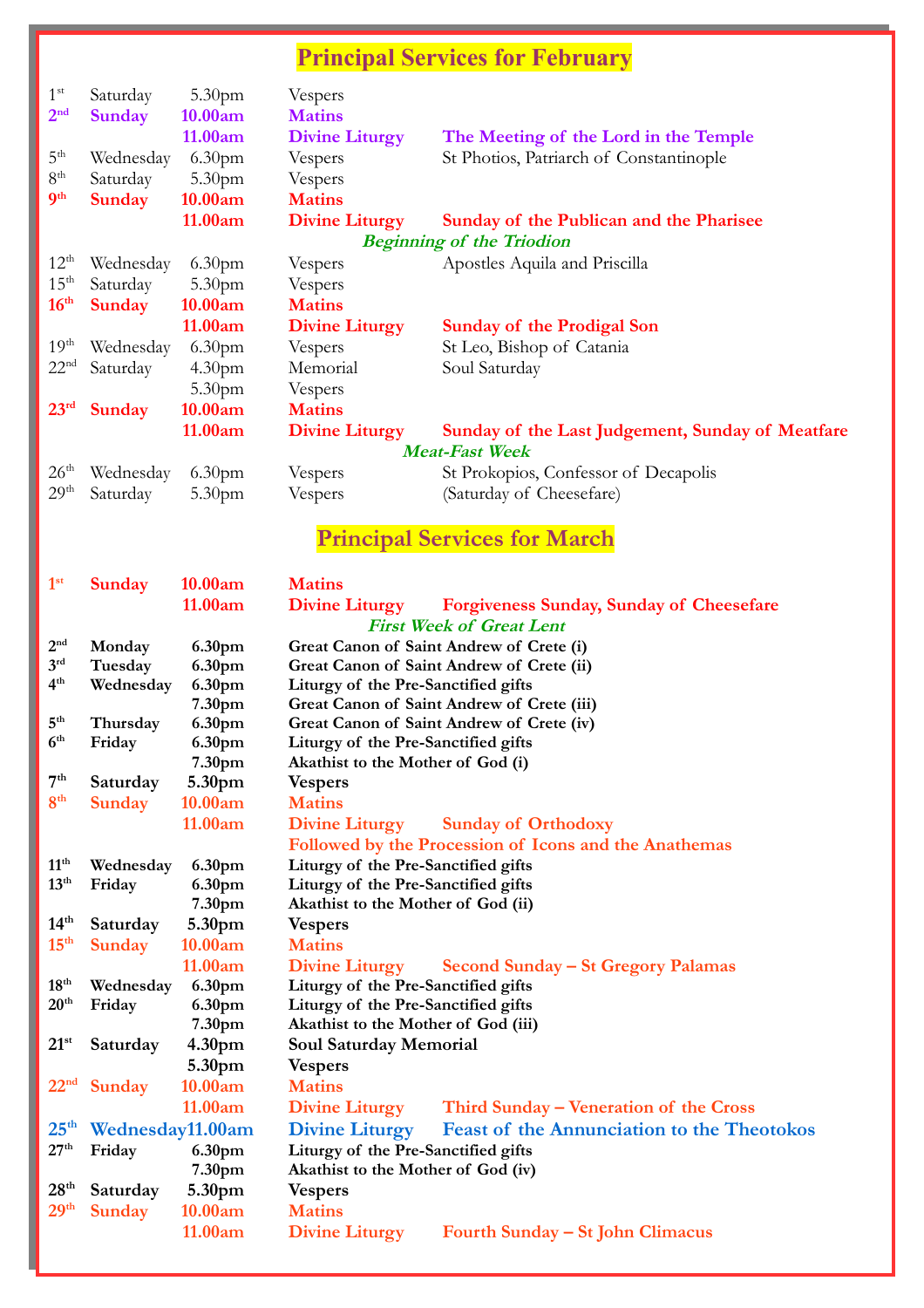# **Principal Services for February**

| $1^{\rm st}$<br>2 <sup>nd</sup> | Saturday<br><b>Sunday</b>        | 5.30 <sub>pm</sub><br>10.00am | Vespers<br><b>Matins</b> |                                                  |  |  |  |
|---------------------------------|----------------------------------|-------------------------------|--------------------------|--------------------------------------------------|--|--|--|
|                                 |                                  | 11.00am                       | <b>Divine Liturgy</b>    | The Meeting of the Lord in the Temple            |  |  |  |
| 5 <sup>th</sup>                 | Wednesday                        | 6.30 <sub>pm</sub>            | Vespers                  | St Photios, Patriarch of Constantinople          |  |  |  |
| 8 <sup>th</sup>                 | Saturday                         | 5.30 <sub>pm</sub>            | Vespers                  |                                                  |  |  |  |
| 9 <sup>th</sup>                 | <b>Sunday</b>                    | 10.00am                       | <b>Matins</b>            |                                                  |  |  |  |
|                                 |                                  | 11.00am                       | <b>Divine Liturgy</b>    | Sunday of the Publican and the Pharisee          |  |  |  |
|                                 | <b>Beginning of the Triodion</b> |                               |                          |                                                  |  |  |  |
| $12^{\text{th}}$                | Wednesday                        | 6.30 <sub>pm</sub>            | Vespers                  | Apostles Aquila and Priscilla                    |  |  |  |
| $15^{\text{th}}$                | Saturday                         | 5.30 <sub>pm</sub>            | Vespers                  |                                                  |  |  |  |
| 16 <sup>th</sup>                | <b>Sunday</b>                    | 10.00am                       | <b>Matins</b>            |                                                  |  |  |  |
|                                 |                                  | 11.00am                       | <b>Divine Liturgy</b>    | <b>Sunday of the Prodigal Son</b>                |  |  |  |
| 19 <sup>th</sup>                | Wednesday                        | 6.30 <sub>pm</sub>            | Vespers                  | St Leo, Bishop of Catania                        |  |  |  |
| 22 <sup>nd</sup>                | Saturday                         | 4.30 <sub>pm</sub>            | Memorial                 | Soul Saturday                                    |  |  |  |
|                                 |                                  | 5.30 <sub>pm</sub>            | Vespers                  |                                                  |  |  |  |
| 23 <sup>rd</sup>                | <b>Sunday</b>                    | 10.00am                       | <b>Matins</b>            |                                                  |  |  |  |
|                                 |                                  | 11.00am                       | <b>Divine Liturgy</b>    | Sunday of the Last Judgement, Sunday of Meatfare |  |  |  |
| <b>Meat-Fast Week</b>           |                                  |                               |                          |                                                  |  |  |  |
| 26 <sup>th</sup>                | Wednesday                        | 6.30 <sub>pm</sub>            | Vespers                  | St Prokopios, Confessor of Decapolis             |  |  |  |
| 29 <sup>th</sup>                | Saturday                         | 5.30 <sub>pm</sub>            | Vespers                  | (Saturday of Cheesefare)                         |  |  |  |

# **Principal Services for March**

| 1 <sup>st</sup>   | Sunday           | 10.00am            | <b>Matins</b>                                                              |  |  |  |  |
|-------------------|------------------|--------------------|----------------------------------------------------------------------------|--|--|--|--|
|                   |                  | 11.00am            | <b>Divine Liturgy</b><br><b>Forgiveness Sunday, Sunday of Cheesefare</b>   |  |  |  |  |
|                   |                  |                    | <b>First Week of Great Lent</b>                                            |  |  |  |  |
| 2 <sup>nd</sup>   | Monday           | 6.30pm             | Great Canon of Saint Andrew of Crete (i)                                   |  |  |  |  |
| 3 <sup>rd</sup>   | Tuesday          | 6.30pm             | Great Canon of Saint Andrew of Crete (ii)                                  |  |  |  |  |
| 4 <sup>th</sup>   | Wednesday        | 6.30pm             | Liturgy of the Pre-Sanctified gifts                                        |  |  |  |  |
|                   |                  | 7.30pm             | Great Canon of Saint Andrew of Crete (iii)                                 |  |  |  |  |
| 5 <sup>th</sup>   | Thursday         | 6.30pm             | Great Canon of Saint Andrew of Crete (iv)                                  |  |  |  |  |
| 6 <sup>th</sup>   | Friday           | 6.30pm             | Liturgy of the Pre-Sanctified gifts                                        |  |  |  |  |
|                   |                  | 7.30pm             | Akathist to the Mother of God (i)                                          |  |  |  |  |
| $7^{\mathrm{th}}$ | Saturday         | 5.30pm             | <b>Vespers</b>                                                             |  |  |  |  |
| 8 <sup>th</sup>   | Sunday           | 10.00am            | <b>Matins</b>                                                              |  |  |  |  |
|                   |                  | 11.00am            | <b>Divine Liturgy</b><br><b>Sunday of Orthodoxy</b>                        |  |  |  |  |
|                   |                  |                    | Followed by the Procession of Icons and the Anathemas                      |  |  |  |  |
| 11 <sup>th</sup>  | Wednesday        | 6.30pm             | Liturgy of the Pre-Sanctified gifts                                        |  |  |  |  |
| 13 <sup>th</sup>  | Friday           | 6.30pm             | Liturgy of the Pre-Sanctified gifts                                        |  |  |  |  |
|                   |                  | 7.30pm             | Akathist to the Mother of God (ii)                                         |  |  |  |  |
| 14 <sup>th</sup>  | Saturday         | 5.30pm             | <b>Vespers</b>                                                             |  |  |  |  |
| 15 <sup>th</sup>  | Sunday           | 10.00am            | <b>Matins</b>                                                              |  |  |  |  |
|                   |                  | 11.00am            | <b>Divine Liturgy</b><br>Second Sunday – St Gregory Palamas                |  |  |  |  |
| $18^{\text{th}}$  | Wednesday        | 6.30pm             | Liturgy of the Pre-Sanctified gifts                                        |  |  |  |  |
| 20 <sup>th</sup>  | Friday           | 6.30pm             | Liturgy of the Pre-Sanctified gifts                                        |  |  |  |  |
|                   |                  | 7.30pm             | Akathist to the Mother of God (iii)                                        |  |  |  |  |
| $21^{st}$         | Saturday         | 4.30 <sub>pm</sub> | <b>Soul Saturday Memorial</b>                                              |  |  |  |  |
|                   |                  | 5.30pm             | <b>Vespers</b>                                                             |  |  |  |  |
| 22 <sup>nd</sup>  | <b>Sunday</b>    | 10.00am            | <b>Matins</b>                                                              |  |  |  |  |
|                   |                  | 11.00am            | <b>Divine Liturgy</b><br>Third Sunday – Veneration of the Cross            |  |  |  |  |
| $25^{\text{th}}$  | Wednesday11.00am |                    | <b>Divine Liturgy</b><br><b>Feast of the Annunciation to the Theotokos</b> |  |  |  |  |
| 27 <sup>th</sup>  | Friday           | 6.30pm             | Liturgy of the Pre-Sanctified gifts<br>Akathist to the Mother of God (iv)  |  |  |  |  |
|                   |                  | 7.30pm             |                                                                            |  |  |  |  |
| 28 <sup>th</sup>  | Saturday         | 5.30pm             | <b>Vespers</b>                                                             |  |  |  |  |
| 29 <sup>th</sup>  | Sunday           | 10.00am            | <b>Matins</b>                                                              |  |  |  |  |
|                   |                  | 11.00am            | <b>Divine Liturgy</b><br>Fourth Sunday – St John Climacus                  |  |  |  |  |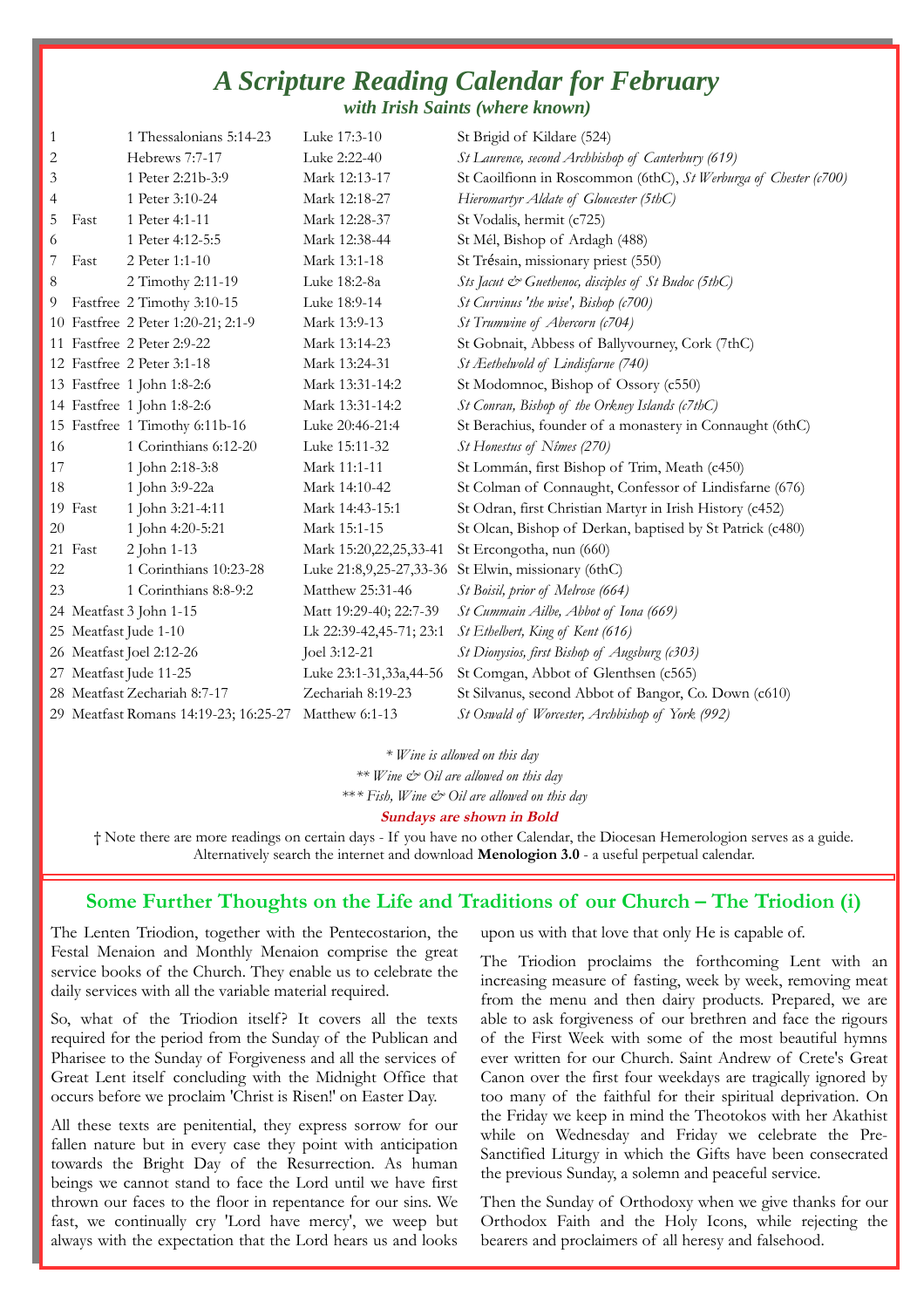### *A Scripture Reading Calendar for February with Irish Saints (where known)*

| $\mathbf{1}$ |         | 1 Thessalonians 5:14-23               | Luke 17:3-10            | St Brigid of Kildare (524)                                       |
|--------------|---------|---------------------------------------|-------------------------|------------------------------------------------------------------|
| 2            |         | Hebrews 7:7-17                        | Luke 2:22-40            | St Laurence, second Archbishop of Canterbury (619)               |
| 3            |         | 1 Peter 2:21b-3:9                     | Mark 12:13-17           | St Caoilfionn in Roscommon (6thC), St Werburga of Chester (c700) |
| 4            |         | 1 Peter 3:10-24                       | Mark 12:18-27           | Hieromartyr Aldate of Gloucester (5thC)                          |
| 5            | Fast    | 1 Peter 4:1-11                        | Mark 12:28-37           | St Vodalis, hermit (c725)                                        |
| 6            |         | 1 Peter 4:12-5:5                      | Mark 12:38-44           | St Mél, Bishop of Ardagh (488)                                   |
| 7            | Fast    | 2 Peter 1:1-10                        | Mark 13:1-18            | St Trésain, missionary priest (550)                              |
| 8            |         | 2 Timothy 2:11-19                     | Luke 18:2-8a            | Sts Jacut & Guethenoc, disciples of St Budoc (5thC)              |
| 9            |         | Fastfree 2 Timothy 3:10-15            | Luke 18:9-14            | St Curvinus 'the wise', Bishop (c700)                            |
|              |         | 10 Fastfree 2 Peter 1:20-21; 2:1-9    | Mark 13:9-13            | St Trumwine of Abercorn (c704)                                   |
|              |         | 11 Fastfree 2 Peter 2:9-22            | Mark 13:14-23           | St Gobnait, Abbess of Ballyvourney, Cork (7thC)                  |
|              |         | 12 Fastfree 2 Peter 3:1-18            | Mark 13:24-31           | St Æethelwold of Lindisfarne (740)                               |
|              |         | 13 Fastfree 1 John 1:8-2:6            | Mark 13:31-14:2         | St Modomnoc, Bishop of Ossory (c550)                             |
|              |         | 14 Fastfree 1 John 1:8-2:6            | Mark 13:31-14:2         | St Conran, Bishop of the Orkney Islands (c7thC)                  |
|              |         | 15 Fastfree 1 Timothy 6:11b-16        | Luke 20:46-21:4         | St Berachius, founder of a monastery in Connaught (6thC)         |
| 16           |         | 1 Corinthians 6:12-20                 | Luke 15:11-32           | St Honestus of Nîmes (270)                                       |
| 17           |         | 1 John 2:18-3:8                       | Mark 11:1-11            | St Lommán, first Bishop of Trim, Meath (c450)                    |
| 18           |         | 1 John 3:9-22a                        | Mark 14:10-42           | St Colman of Connaught, Confessor of Lindisfarne (676)           |
|              | 19 Fast | 1 John 3:21-4:11                      | Mark 14:43-15:1         | St Odran, first Christian Martyr in Irish History (c452)         |
| 20           |         | 1 John 4:20-5:21                      | Mark 15:1-15            | St Olcan, Bishop of Derkan, baptised by St Patrick (c480)        |
|              | 21 Fast | 2 John 1-13                           | Mark 15:20,22,25,33-41  | St Ercongotha, nun (660)                                         |
| 22           |         | 1 Corinthians 10:23-28                | Luke 21:8,9,25-27,33-36 | St Elwin, missionary (6thC)                                      |
| 23           |         | 1 Corinthians 8:8-9:2                 | Matthew 25:31-46        | St Boisil, prior of Melrose (664)                                |
|              |         | 24 Meatfast 3 John 1-15               | Matt 19:29-40; 22:7-39  | St Cummain Ailbe, Abbot of Iona (669)                            |
|              |         | 25 Meatfast Jude 1-10                 | Lk 22:39-42,45-71; 23:1 | St Ethelbert, King of Kent (616)                                 |
|              |         | 26 Meatfast Joel 2:12-26              | Joel 3:12-21            | St Dionysios, first Bishop of Augsburg (c303)                    |
|              |         | 27 Meatfast Jude 11-25                | Luke 23:1-31,33a,44-56  | St Comgan, Abbot of Glenthsen (c565)                             |
|              |         | 28 Meatfast Zechariah 8:7-17          | Zechariah 8:19-23       | St Silvanus, second Abbot of Bangor, Co. Down (c610)             |
|              |         | 29 Meatfast Romans 14:19-23; 16:25-27 | Matthew 6:1-13          | St Oswald of Worcester, Archbishop of York (992)                 |

*\* Wine is allowed on this day*

*\*\* Wine & Oil are allowed on this day* 

\*\**\* Fish, Wine & Oil are allowed on this day* 

#### **Sundays are shown in Bold**

† Note there are more readings on certain days - If you have no other Calendar, the Diocesan Hemerologion serves as a guide. Alternatively search the internet and download **Menologion 3.0** - a useful perpetual calendar.

### **Some Further Thoughts on the Life and Traditions of our Church – The Triodion (i)**

The Lenten Triodion, together with the Pentecostarion, the Festal Menaion and Monthly Menaion comprise the great service books of the Church. They enable us to celebrate the daily services with all the variable material required.

So, what of the Triodion itself? It covers all the texts required for the period from the Sunday of the Publican and Pharisee to the Sunday of Forgiveness and all the services of Great Lent itself concluding with the Midnight Office that occurs before we proclaim 'Christ is Risen!' on Easter Day.

All these texts are penitential, they express sorrow for our fallen nature but in every case they point with anticipation towards the Bright Day of the Resurrection. As human beings we cannot stand to face the Lord until we have first thrown our faces to the floor in repentance for our sins. We fast, we continually cry 'Lord have mercy', we weep but always with the expectation that the Lord hears us and looks upon us with that love that only He is capable of.

The Triodion proclaims the forthcoming Lent with an increasing measure of fasting, week by week, removing meat from the menu and then dairy products. Prepared, we are able to ask forgiveness of our brethren and face the rigours of the First Week with some of the most beautiful hymns ever written for our Church. Saint Andrew of Crete's Great Canon over the first four weekdays are tragically ignored by too many of the faithful for their spiritual deprivation. On the Friday we keep in mind the Theotokos with her Akathist while on Wednesday and Friday we celebrate the Pre-Sanctified Liturgy in which the Gifts have been consecrated the previous Sunday, a solemn and peaceful service.

Then the Sunday of Orthodoxy when we give thanks for our Orthodox Faith and the Holy Icons, while rejecting the bearers and proclaimers of all heresy and falsehood.